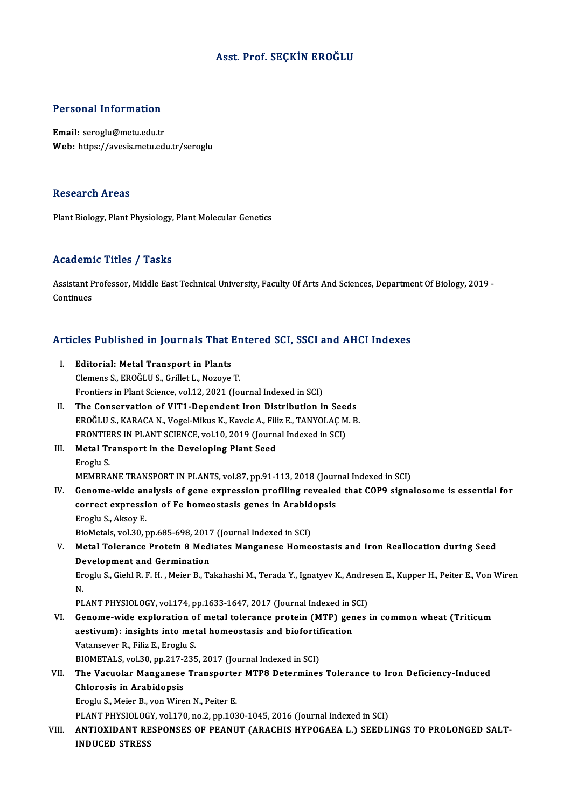### Asst. Prof. SEÇKİN EROĞLU

#### Personal Information

Email: seroglu@metu.edu.tr Web: https://avesis.metu.edu.tr/seroglu

#### **Research Areas**

Plant Biology, Plant Physiology, Plant Molecular Genetics

#### Academic Titles / Tasks

Academic Titles / Tasks<br>Assistant Professor, Middle East Technical University, Faculty Of Arts And Sciences, Department Of Biology, 2019 -<br>Continues Assistant P<br>Continues

# Articles Published in Journals That Entered SCI, SSCI and AHCI Indexes

| Articles Published in Journals That Entered SCI, SSCI and AHCI Indexes |                                                                                                                         |
|------------------------------------------------------------------------|-------------------------------------------------------------------------------------------------------------------------|
| Ι.                                                                     | <b>Editorial: Metal Transport in Plants</b>                                                                             |
|                                                                        | Clemens S., EROĞLU S., Grillet L., Nozoye T.                                                                            |
|                                                                        | Frontiers in Plant Science, vol.12, 2021 (Journal Indexed in SCI)                                                       |
| Н.                                                                     | The Conservation of VIT1-Dependent Iron Distribution in Seeds                                                           |
|                                                                        | EROĞLU S., KARACA N., Vogel-Mikus K., Kavcic A., Filiz E., TANYOLAÇ M. B.                                               |
|                                                                        | FRONTIERS IN PLANT SCIENCE, vol.10, 2019 (Journal Indexed in SCI)                                                       |
| Ш.                                                                     | Metal Transport in the Developing Plant Seed                                                                            |
|                                                                        | Eroglu S                                                                                                                |
|                                                                        | MEMBRANE TRANSPORT IN PLANTS, vol.87, pp.91-113, 2018 (Journal Indexed in SCI)                                          |
| IV.                                                                    | Genome-wide analysis of gene expression profiling revealed that COP9 signalosome is essential for                       |
|                                                                        | correct expression of Fe homeostasis genes in Arabidopsis                                                               |
|                                                                        | Eroglu S, Aksoy E                                                                                                       |
|                                                                        | BioMetals, vol.30, pp.685-698, 2017 (Journal Indexed in SCI)                                                            |
| V.                                                                     | Metal Tolerance Protein 8 Mediates Manganese Homeostasis and Iron Reallocation during Seed                              |
|                                                                        | Development and Germination                                                                                             |
|                                                                        | Eroglu S., Giehl R. F. H., Meier B., Takahashi M., Terada Y., Ignatyev K., Andresen E., Kupper H., Peiter E., Von Wiren |
|                                                                        | N.                                                                                                                      |
|                                                                        | PLANT PHYSIOLOGY, vol.174, pp.1633-1647, 2017 (Journal Indexed in SCI)                                                  |
| VI.                                                                    | Genome-wide exploration of metal tolerance protein (MTP) genes in common wheat (Triticum                                |
|                                                                        | aestivum): insights into metal homeostasis and biofortification                                                         |
|                                                                        | Vatansever R., Filiz E., Eroglu S.                                                                                      |
|                                                                        | BIOMETALS, vol.30, pp.217-235, 2017 (Journal Indexed in SCI)                                                            |
| VII.                                                                   | The Vacuolar Manganese Transporter MTP8 Determines Tolerance to Iron Deficiency-Induced                                 |
|                                                                        | <b>Chlorosis in Arabidopsis</b>                                                                                         |
|                                                                        | Eroglu S., Meier B., von Wiren N., Peiter E.                                                                            |
|                                                                        | PLANT PHYSIOLOGY, vol.170, no.2, pp.1030-1045, 2016 (Journal Indexed in SCI)                                            |
| VIII.                                                                  | ANTIOXIDANT RESPONSES OF PEANUT (ARACHIS HYPOGAEA L.) SEEDLINGS TO PROLONGED SALT-                                      |
|                                                                        | <b>INDUCED STRESS</b>                                                                                                   |